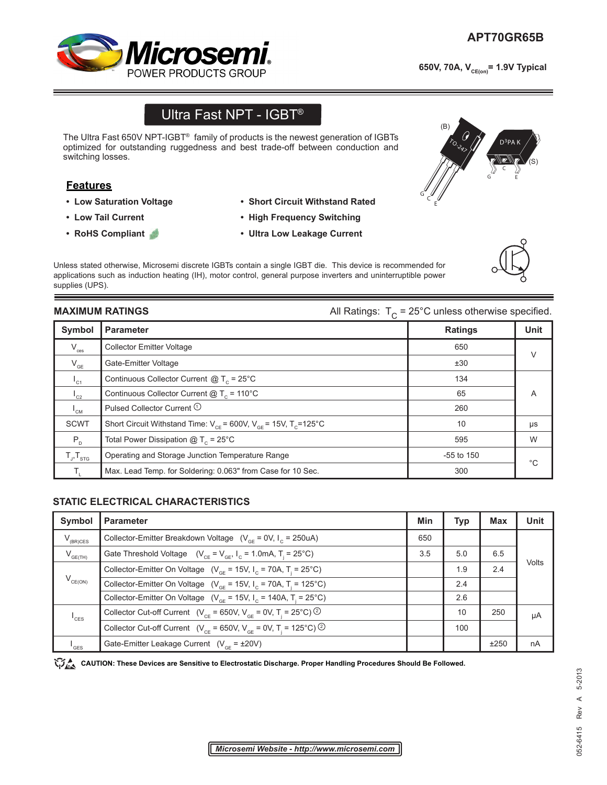# *Microsen* **POWER PRODUCTS GROUF**

650V, 70A, V<sub>CE(on)</sub>= 1.9V Typical

## Ultra Fast NPT - IGBT®

The Ultra Fast 650V NPT-IGBT® family of products is the newest generation of IGBTs optimized for outstanding ruggedness and best trade-off between conduction and switching losses.

### **Features**

- **Low Saturation Voltage**
- **Low Tail Current**
- **RoHS Compliant**
- **Short Circuit Withstand Rated**
- **High Frequency Switching**
- **Ultra Low Leakage Current**

Unless stated otherwise, Microsemi discrete IGBTs contain a single IGBT die. This device is recommended for applications such as induction heating (IH), motor control, general purpose inverters and uninterruptible power supplies (UPS).

**MAXIMUM RATINGS All Ratings:**  $T_c = 25^\circ \text{C}$  unless otherwise specified.

| Symbol                     | <b>Parameter</b>                                                              | <b>Ratings</b> | <b>Unit</b> |
|----------------------------|-------------------------------------------------------------------------------|----------------|-------------|
| $\rm V_{\rm ces}$          | <b>Collector Emitter Voltage</b>                                              | 650            | $\vee$      |
| $\mathsf{V}_{\mathsf{GE}}$ | Gate-Emitter Voltage                                                          | ±30            |             |
| $I_{C1}$                   | Continuous Collector Current $@T_c = 25^{\circ}C$                             | 134            |             |
| $L_{C2}$                   | Continuous Collector Current $@T_c = 110°C$                                   | 65             | A           |
| $I_{\texttt{CM}}$          | Pulsed Collector Current <sup>1</sup>                                         | 260            |             |
| <b>SCWT</b>                | Short Circuit Withstand Time: $V_{CF}$ = 600V, $V_{GF}$ = 15V, $T_{C}$ =125°C | 10             | μs          |
| $P_{D}$                    | Total Power Dissipation $@T_c = 25^{\circ}C$                                  | 595            | W           |
| $T_{J}$ , $T_{STG}$        | Operating and Storage Junction Temperature Range                              | $-55$ to 150   | $^{\circ}C$ |
|                            | Max. Lead Temp. for Soldering: 0.063" from Case for 10 Sec.                   | 300            |             |

#### **STATIC ELECTRICAL CHARACTERISTICS**

| Symbol                      | <b>Parameter</b>                                                                                    | Min | <b>Typ</b> | <b>Max</b> | <b>Unit</b> |
|-----------------------------|-----------------------------------------------------------------------------------------------------|-----|------------|------------|-------------|
| $V_{(BR)CES}$               | Collector-Emitter Breakdown Voltage $(V_{CF} = 0V, I_{C} = 250uA)$                                  | 650 |            |            |             |
| $V_{GE(TH)}$                | Gate Threshold Voltage $(V_{CF} = V_{GF}, I_C = 1.0 \text{mA}, T = 25^{\circ}\text{C})$             | 3.5 | 5.0        | 6.5        |             |
| $V_{CE(ON)}$                | Collector-Emitter On Voltage ( $V_{\text{CF}}$ = 15V, $I_{\text{C}}$ = 70A, T <sub>i</sub> = 25°C)  |     | 1.9        | 2.4        | Volts       |
|                             | Collector-Emitter On Voltage ( $V_{\text{CF}}$ = 15V, I <sub>C</sub> = 70A, T <sub>i</sub> = 125°C) |     | 2.4        |            |             |
|                             | Collector-Emitter On Voltage ( $V_{GF}$ = 15V, $I_{C}$ = 140A, T <sub>i</sub> = 25°C)               |     | 2.6        |            |             |
| $I_{\text{CES}}$            | Collector Cut-off Current ( $V_{CF}$ = 650V, $V_{GF}$ = 0V, T <sub>i</sub> = 25°C) <sup>②</sup>     |     | 10         | 250        | μA          |
|                             | Collector Cut-off Current ( $V_{CF}$ = 650V, $V_{GF}$ = 0V, T <sub>i</sub> = 125°C) <sup>②</sup>    |     | 100        |            |             |
| $\mathsf{I}_{\mathsf{GES}}$ | Gate-Emitter Leakage Current $(V_{CF} = \pm 20V)$                                                   |     |            | ±250       | nA          |

CAUTION: These Devices are Sensitive to Electrostatic Discharge. Proper Handling Procedures Should Be Followed.





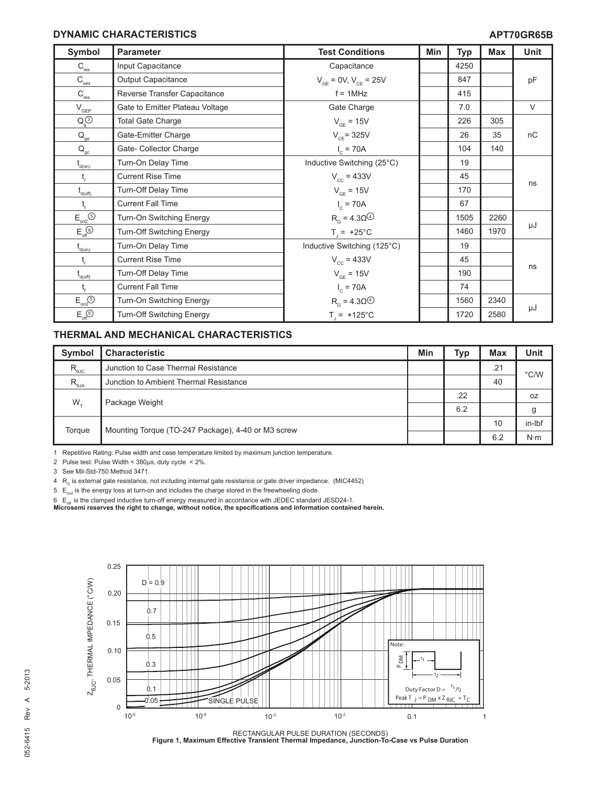#### **DYNAMIC CHARACTERISTICS**

| Symbol                                                        | <b>Parameter</b>                 | <b>Test Conditions</b>                 | Min | <b>Typ</b> | <b>Max</b> | Unit   |
|---------------------------------------------------------------|----------------------------------|----------------------------------------|-----|------------|------------|--------|
| $C_{\text{ies}}$                                              | Input Capacitance                | Capacitance                            |     | 4250       |            |        |
| $\mathrm{C}_{\underline{\mathrm{oes}}}$                       | <b>Output Capacitance</b>        | $V_{CF}$ = 0V, $V_{CF}$ = 25V          |     | 847        |            | pF     |
| $\mathsf{C}_{\textsf{res}}$                                   | Reverse Transfer Capacitance     | $f = 1MHz$                             |     | 415        |            |        |
| $\mathsf{V}_{\mathsf{GEP}}$                                   | Gate to Emitter Plateau Voltage  | Gate Charge                            |     | 7.0        |            | $\vee$ |
| $Q_q^{(3)}$                                                   | <b>Total Gate Charge</b>         | $V_{GF}$ = 15V                         |     | 226        | 305        |        |
| $Q_{\rm ge}$                                                  | Gate-Emitter Charge              | $V_{CF}$ = 325V                        |     | 26         | 35         | nC     |
| $\mathbf{Q}_{\underline{\mathrm{gc}}}$                        | Gate- Collector Charge           | $I_c = 70A$                            |     | 104        | 140        |        |
| $\mathfrak{t}_{\scriptscriptstyle{\mathsf{d}(\mathsf{on})}}$  | Turn-On Delay Time               | Inductive Switching (25°C)             |     | 19         |            |        |
| $t_{\rm r}$                                                   | <b>Current Rise Time</b>         | $V_{cc}$ = 433V                        |     | 45         |            |        |
| $t_{\text{\tiny{d(off)}}}$                                    | Turn-Off Delay Time              | $V_{GF} = 15V$                         |     | 170        |            | ns     |
| $t_{\rm f}$                                                   | <b>Current Fall Time</b>         | $I_c = 70A$                            |     | 67         |            |        |
| $\mathsf{E}_{\mathsf{on2}}^{\mathsf{}}(\mathsf{S})$           | Turn-On Switching Energy         | $R_{\alpha} = 4.3 \Omega$ <sup>4</sup> |     | 1505       | 2260       |        |
| $\mathsf{E}^{\;\odot}_{\mathsf{off}}$                         | <b>Turn-Off Switching Energy</b> | $T_1 = +25^{\circ}C$                   |     | 1460       | 1970       | μJ     |
| $t_{\text{\tiny d(0n)}}$                                      | Turn-On Delay Time               | Inductive Switching (125°C)            |     | 19         |            |        |
| t,                                                            | <b>Current Rise Time</b>         | $V_{cc}$ = 433V                        |     | 45         |            |        |
| $\mathfrak{t}_{\scriptscriptstyle{\mathsf{d}(\mathsf{off})}}$ | Turn-Off Delay Time              | $V_{GF} = 15V$                         |     | 190        |            | ns     |
|                                                               | <b>Current Fall Time</b>         | $I_c = 70A$                            |     | 74         |            |        |
| $E_{on2}$ <sup>(5)</sup>                                      | Turn-On Switching Energy         | $R_{\alpha}$ = 4.30 $\circledcirc$     |     | 1560       | 2340       |        |
| $E_{\text{off}}$ <sup><math>\odot</math></sup>                | Turn-Off Switching Energy        | $T_{1} = +125^{\circ}C$                |     | 1720       | 2580       | μJ     |

#### **THERMAL AND MECHANICAL CHARACTERISTICS**

| <b>Symbol</b>                             | <b>Characteristic</b>                              | Min | <b>Typ</b> | <b>Max</b> | <b>Unit</b> |
|-------------------------------------------|----------------------------------------------------|-----|------------|------------|-------------|
| $R_{\scriptscriptstyle{\theta\text{JC}}}$ | Junction to Case Thermal Resistance                |     |            | .21        | °C/W        |
| $\mathsf{R}_{_{\mathsf{\theta JA}}}$      | Junction to Ambient Thermal Resistance             |     |            | 40         |             |
| $W_{\tau}$                                | Package Weight                                     |     | .22        |            | 0Z          |
|                                           |                                                    |     | 6.2        |            | g           |
| Torque                                    | Mounting Torque (TO-247 Package), 4-40 or M3 screw |     |            | 10         | in-Ibf      |
|                                           |                                                    |     |            | 6.2        | $N \cdot m$ |

1 Repetitive Rating: Pulse width and case temperature limited by maximum junction temperature.

2 Pulse test: Pulse Width < 380*µs*, duty cycle < 2%.

3 See Mil-Std-750 Method 3471.

 $4$  R<sub>G</sub> is external gate resistance, not including internal gate resistance or gate driver impedance. (MIC4452)

 $5 E_{on2}$  is the energy loss at turn-on and includes the charge stored in the freewheeling diode.

6  $\,$  E<sub>off</sub> is the clamped inductive turn-off energy measured in accordance with JEDEC standard JESD24-1.<br>**Microsemi reserves the right to change, without notice, the specifications and information contained herein.** 



RECTANGULAR PULSE DURATION (SECONDS) **Figure 1, Maximum Effective Transient Thermal Impedance, Junction-To-Case vs Pulse Duration**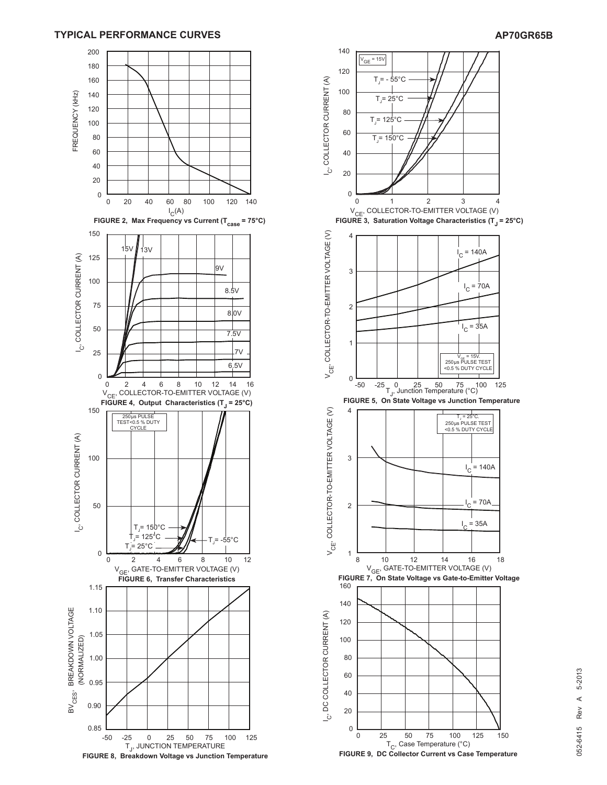#### **TYPICAL PERFORMANCE CURVES AP70GR65B**





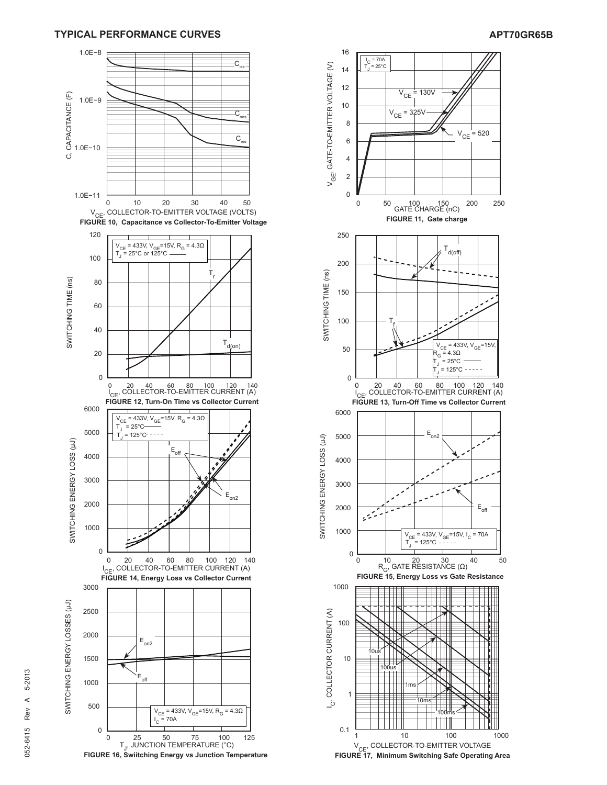



**FIGURE 17, Minimum Switching Safe Operating Area**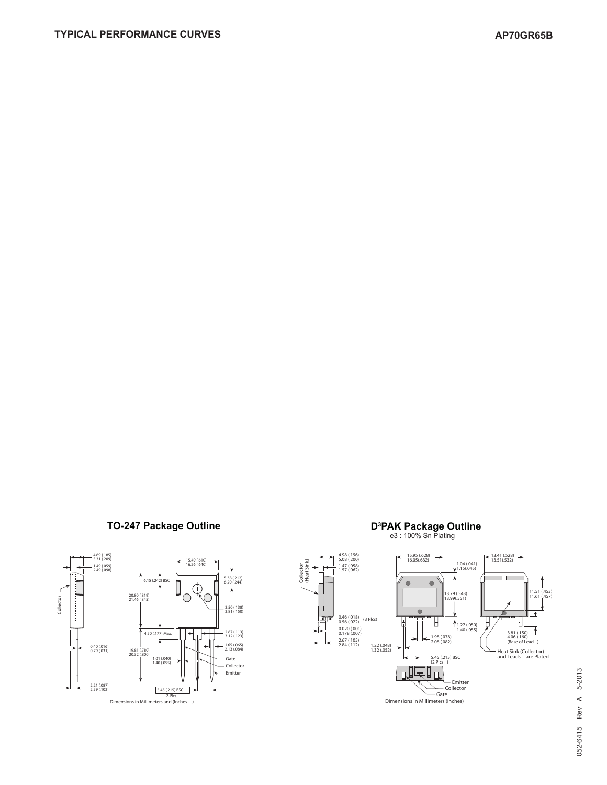### **TO-247 Package Outline**





## **PAK Package Outline**<br>e3 : 100% Sn Plating